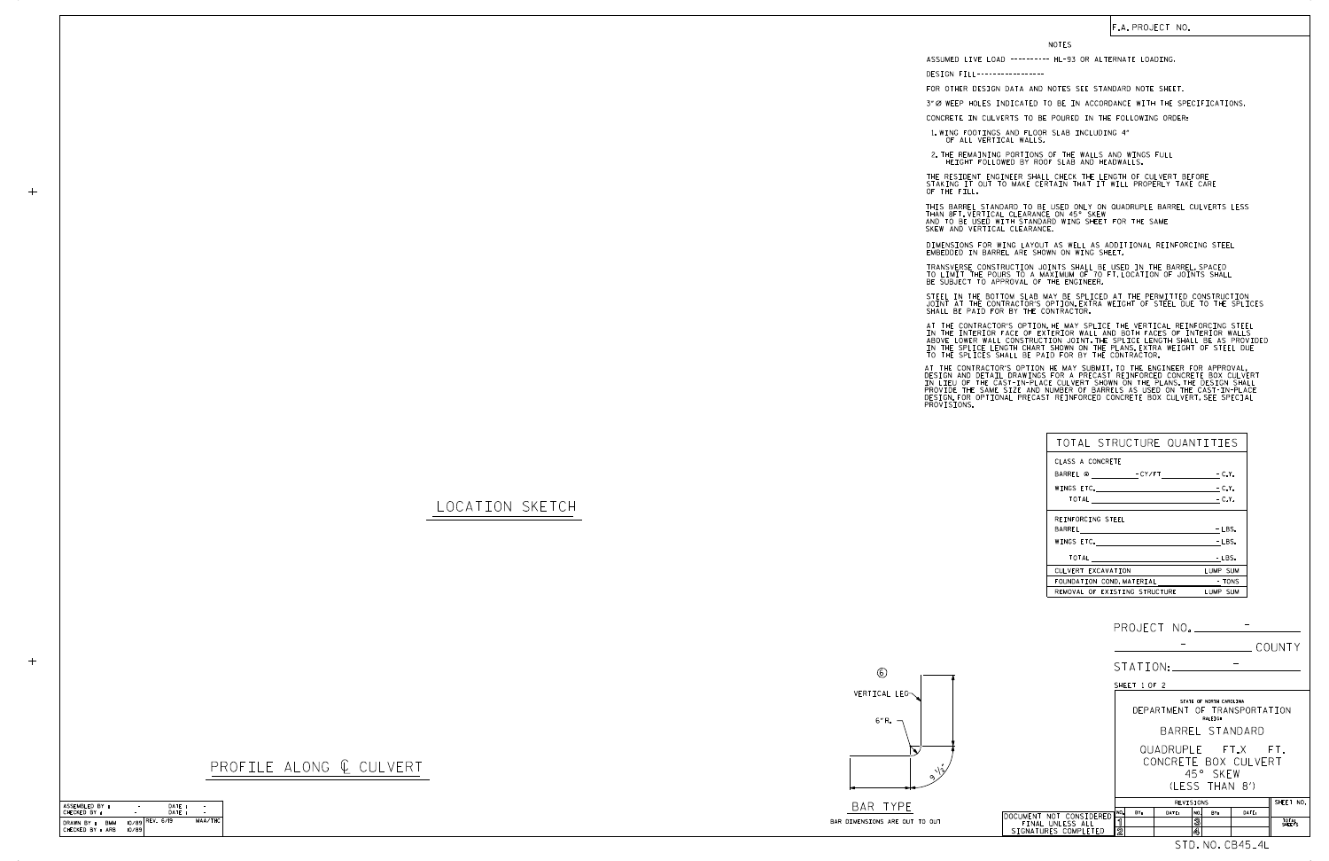## F.A. PROJECT NO.

## LOCATION SKETCH

|  | SHALL BE P                                                                       |  |
|--|----------------------------------------------------------------------------------|--|
|  | AT THE CON<br>IN THE INT<br>ABOVE LOWE<br>IN THE SPL<br>TO THE SPL               |  |
|  | AT THE CON<br>DESIGN AND<br>IN LIEU OF<br>PROVIDE TH<br>DESIGN.FOR<br>PROVISIONS |  |

OF THE FILL.

NOTES

DESIGN FILL-----------------

FOR OTHER DESIGN DATA AND NOTES SEE STANDARD NOTE SHEET.

3" Ø WEEP HOLES INDICATED TO BE IN ACCORDANCE WITH THE SPECIFICATIONS.

CONCRETE IN CULVERTS TO BE POURED IN THE FOLLOWING ORDER:

1.WING FOOTINGS AND FLOOR SLAB INCLUDING 4"<br>OF ALL VERTICAL WALLS.

2.THE REMAINING PORTIONS OF THE WALLS AND WINGS FULL<br>HEIGHT FOLLOWED BY ROOF SLAB AND HEADWALLS.

THE RESIDENT ENGINEER SHALL CHECK THE LENGTH OF CULVERT BEFORE STAKING IT OUT TO MAKE CERTAIN THAT IT WILL PROPERLY TAKE CARE

STEEL IN THE BOTTOM SLAB MAY BE SPLICED AT THE PERMITTED CONSTRUCTION JOINT AT THE CONTRACTOR'S OPTION.EXTRA WEIGHT OF STEEL DUE TO THE SPLICES<br>SHALL BE PAID FOR BY THE CONTRACTOR.

IN THE INTERIOR FACE OF EXTERIOR WALL AND BOTH FACES OF INTERIOR WALLS<br>ABOVE LOWER WALL CONSTRUCTION JOINT THE SPLICE LENGTH SHALL BE AS PROVIDED<br>IN THE SPLICE LENGTH CHART SHOWN ON THE PLANS EXTRA WEIGHT OF STEEL DUE<br>TO T AT THE CONTRACTOR'S OPTION, HE MAY SPLICE THE VERTICAL REINFORCING STEEL

AT THE CONTRACTOR'S OPTION HE MAY SUBMIT, TO THE ENGINEER FOR APPROVAL,<br>DESIGN AND DETAIL DRAWINGS FOR A PRECAST REINFORCED CONCRETE BOX CULVERT<br>IN LIEU OF THE CAST-IN-PLACE CULVERT SHOWN ON THE PLANS.THE DESIGN SHALL<br>PROV

THIS BARREL STANDARD TO BE USED ONLY ON QUADRUPLE BARREL CULVERTS LESS AND TO BE USED WITH STANDARD WING SHEET FOR THE SAME SKEW AND VERTICAL CLEARANCE. THAN 8FT. VERTICAL CLEARANCE ON 45° SKEW

DIMENSIONS FOR WING LAYOUT AS WELL AS ADDITIONAL REINFORCING STEEL<br>EMBEDDED IN BARREL ARE SHOWN ON WING SHEET.

TRANSVERSE CONSTRUCTION JOINTS SHALL BE USED IN THE BARREL,SPACED<br>TO LIMIT THE POURS TO A MAXIMUM OF 70 FT.LOCATION OF JOINTS SHALL<br>BE SUBJECT TO APPROVAL OF THE ENGINEER.

6

## PROFILE ALONG ¢ CULVERT



| TOTAL STRUCTURE QUANTITIES                                                                                     |          |
|----------------------------------------------------------------------------------------------------------------|----------|
| CLASS A CONCRETE                                                                                               |          |
| BARREL @ FCY/FT FCLY.                                                                                          |          |
|                                                                                                                | $-C.Y.$  |
|                                                                                                                | $-C.Y.$  |
| REINFORCING STEEL                                                                                              |          |
| BARREL <b>Example 2018</b>                                                                                     | $-LBS.$  |
| WINGS ETC. The contract of the contract of the contract of the contract of the contract of the contract of the | $-LBS.$  |
|                                                                                                                | - LBS.   |
| CULVERT EXCAVATION                                                                                             | LUMP SUM |
| FOUNDATION COND. MATERIAL TONS                                                                                 |          |
| REMOVAL OF EXISTING STRUCTURE                                                                                  | LUMP SUM |

ASSUMED LIVE LOAD ---------- HL-93 OR ALTERNATE LOADING.

| ____ | - | __ |
|------|---|----|
|      |   |    |

(LESS THAN 8') 45° SKEW CONCRETE BOX CULVERT QUADRUPLE FT.X FT.

BARREL STANDARD STATE OF NORTH CAROLINA RALEIGH DEPARTMENT OF TRANSPORTATION

| ASSEMBLED BY :           |                   | DATE: |         |
|--------------------------|-------------------|-------|---------|
| CHECKED BY :             |                   | DATF: |         |
| DRAWN BY :<br><b>BMM</b> | $10/89$ REV. 6/19 |       | MAA/THC |
| CHECKED BY : ARB         | 10/89             |       |         |

 $+$ 

|                         | REVISIONS |     |       |     |          | SHEET NO. |                 |
|-------------------------|-----------|-----|-------|-----|----------|-----------|-----------------|
| DOCUMENT NOT CONSIDERED | ור.       | BY: | DATE: | NO. | BY:      | DATE:     |                 |
| FINAL UNLESS ALL        |           |     |       | 3   |          |           | TOTAL<br>SHEETS |
| SIGNATURES COMPLETED    | ഩ<br>ß    |     |       | 4   |          |           |                 |
|                         |           |     |       |     | NO. CB45 |           |                 |

| PROJECT NO. |  |        |
|-------------|--|--------|
|             |  | COUNTY |
| STATION:    |  |        |